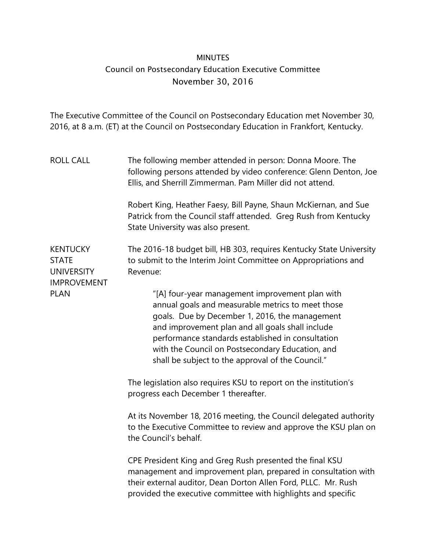## MINUTES Council on Postsecondary Education Executive Committee November 30, 2016

The Executive Committee of the Council on Postsecondary Education met November 30, 2016, at 8 a.m. (ET) at the Council on Postsecondary Education in Frankfort, Kentucky.

| <b>ROLL CALL</b>                                                           | The following member attended in person: Donna Moore. The<br>following persons attended by video conference: Glenn Denton, Joe<br>Ellis, and Sherrill Zimmerman. Pam Miller did not attend.                                                                                                                                                                              |
|----------------------------------------------------------------------------|--------------------------------------------------------------------------------------------------------------------------------------------------------------------------------------------------------------------------------------------------------------------------------------------------------------------------------------------------------------------------|
|                                                                            | Robert King, Heather Faesy, Bill Payne, Shaun McKiernan, and Sue<br>Patrick from the Council staff attended. Greg Rush from Kentucky<br>State University was also present.                                                                                                                                                                                               |
| <b>KENTUCKY</b><br><b>STATE</b><br><b>UNIVERSITY</b><br><b>IMPROVEMENT</b> | The 2016-18 budget bill, HB 303, requires Kentucky State University<br>to submit to the Interim Joint Committee on Appropriations and<br>Revenue:                                                                                                                                                                                                                        |
| <b>PLAN</b>                                                                | "[A] four-year management improvement plan with<br>annual goals and measurable metrics to meet those<br>goals. Due by December 1, 2016, the management<br>and improvement plan and all goals shall include<br>performance standards established in consultation<br>with the Council on Postsecondary Education, and<br>shall be subject to the approval of the Council." |
|                                                                            | The legislation also requires KSU to report on the institution's<br>progress each December 1 thereafter.                                                                                                                                                                                                                                                                 |
|                                                                            | At its November 18, 2016 meeting, the Council delegated authority<br>to the Executive Committee to review and approve the KSU plan on<br>the Council's behalf.                                                                                                                                                                                                           |
|                                                                            | CPE President King and Greg Rush presented the final KSU<br>management and improvement plan, prepared in consultation with<br>their external auditor, Dean Dorton Allen Ford, PLLC. Mr. Rush<br>provided the executive committee with highlights and specific                                                                                                            |